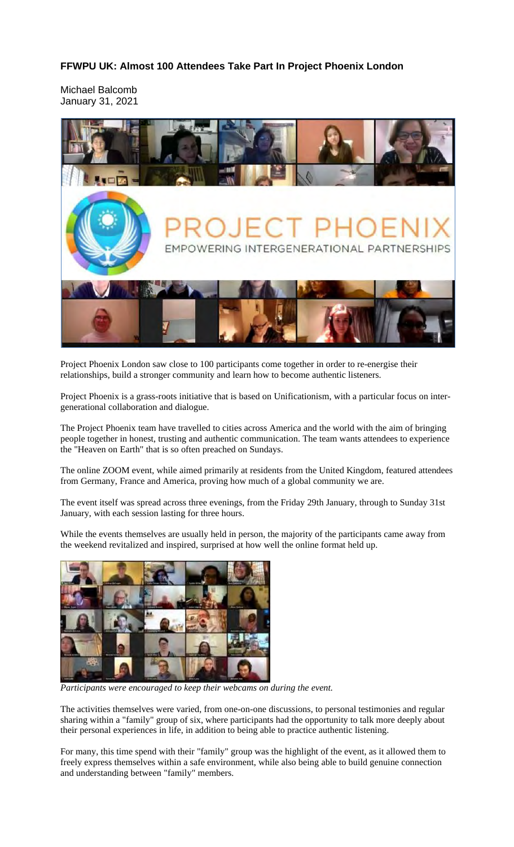## **FFWPU UK: Almost 100 Attendees Take Part In Project Phoenix London**

Michael Balcomb January 31, 2021



Project Phoenix London saw close to 100 participants come together in order to re-energise their relationships, build a stronger community and learn how to become authentic listeners.

Project Phoenix is a grass-roots initiative that is based on Unificationism, with a particular focus on intergenerational collaboration and dialogue.

The Project Phoenix team have travelled to cities across America and the world with the aim of bringing people together in honest, trusting and authentic communication. The team wants attendees to experience the "Heaven on Earth" that is so often preached on Sundays.

The online ZOOM event, while aimed primarily at residents from the United Kingdom, featured attendees from Germany, France and America, proving how much of a global community we are.

The event itself was spread across three evenings, from the Friday 29th January, through to Sunday 31st January, with each session lasting for three hours.

While the events themselves are usually held in person, the majority of the participants came away from the weekend revitalized and inspired, surprised at how well the online format held up.



*Participants were encouraged to keep their webcams on during the event.*

The activities themselves were varied, from one-on-one discussions, to personal testimonies and regular sharing within a "family" group of six, where participants had the opportunity to talk more deeply about their personal experiences in life, in addition to being able to practice authentic listening.

For many, this time spend with their "family" group was the highlight of the event, as it allowed them to freely express themselves within a safe environment, while also being able to build genuine connection and understanding between "family" members.